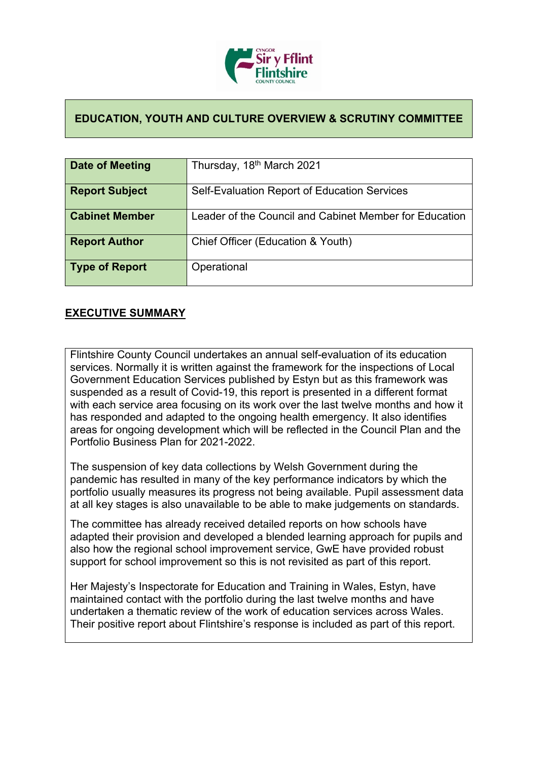

## **EDUCATION, YOUTH AND CULTURE OVERVIEW & SCRUTINY COMMITTEE**

| Date of Meeting       | Thursday, 18 <sup>th</sup> March 2021                  |
|-----------------------|--------------------------------------------------------|
|                       |                                                        |
| <b>Report Subject</b> | Self-Evaluation Report of Education Services           |
| <b>Cabinet Member</b> | Leader of the Council and Cabinet Member for Education |
| <b>Report Author</b>  | Chief Officer (Education & Youth)                      |
| Type of Report        | Operational                                            |

## **EXECUTIVE SUMMARY**

Flintshire County Council undertakes an annual self-evaluation of its education services. Normally it is written against the framework for the inspections of Local Government Education Services published by Estyn but as this framework was suspended as a result of Covid-19, this report is presented in a different format with each service area focusing on its work over the last twelve months and how it has responded and adapted to the ongoing health emergency. It also identifies areas for ongoing development which will be reflected in the Council Plan and the Portfolio Business Plan for 2021-2022.

The suspension of key data collections by Welsh Government during the pandemic has resulted in many of the key performance indicators by which the portfolio usually measures its progress not being available. Pupil assessment data at all key stages is also unavailable to be able to make judgements on standards.

The committee has already received detailed reports on how schools have adapted their provision and developed a blended learning approach for pupils and also how the regional school improvement service, GwE have provided robust support for school improvement so this is not revisited as part of this report.

Her Majesty's Inspectorate for Education and Training in Wales, Estyn, have maintained contact with the portfolio during the last twelve months and have undertaken a thematic review of the work of education services across Wales. Their positive report about Flintshire's response is included as part of this report.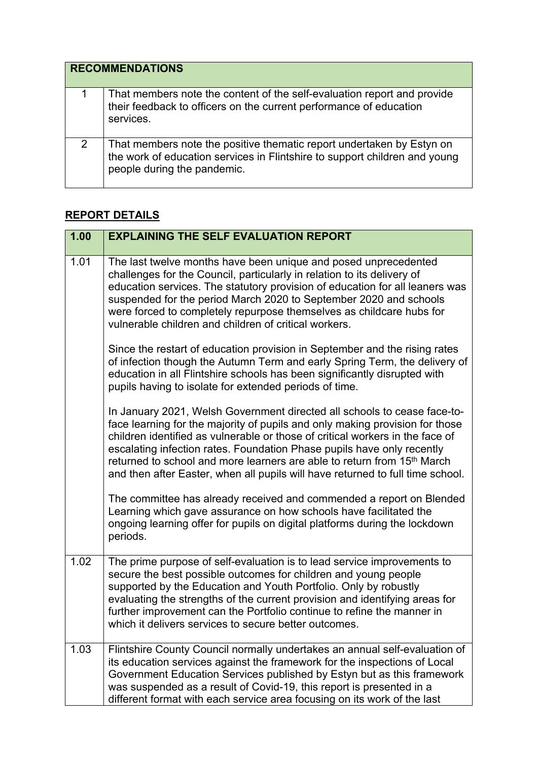| <b>RECOMMENDATIONS</b> |                                                                                                                                                                                    |
|------------------------|------------------------------------------------------------------------------------------------------------------------------------------------------------------------------------|
|                        | That members note the content of the self-evaluation report and provide<br>their feedback to officers on the current performance of education<br>services.                         |
| 2                      | That members note the positive thematic report undertaken by Estyn on<br>the work of education services in Flintshire to support children and young<br>people during the pandemic. |

## **REPORT DETAILS**

| 1.00 | <b>EXPLAINING THE SELF EVALUATION REPORT</b>                                                                                                                                                                                                                                                                                                                                                                                                                                                 |
|------|----------------------------------------------------------------------------------------------------------------------------------------------------------------------------------------------------------------------------------------------------------------------------------------------------------------------------------------------------------------------------------------------------------------------------------------------------------------------------------------------|
| 1.01 | The last twelve months have been unique and posed unprecedented<br>challenges for the Council, particularly in relation to its delivery of<br>education services. The statutory provision of education for all leaners was<br>suspended for the period March 2020 to September 2020 and schools<br>were forced to completely repurpose themselves as childcare hubs for<br>vulnerable children and children of critical workers.                                                             |
|      | Since the restart of education provision in September and the rising rates<br>of infection though the Autumn Term and early Spring Term, the delivery of<br>education in all Flintshire schools has been significantly disrupted with<br>pupils having to isolate for extended periods of time.                                                                                                                                                                                              |
|      | In January 2021, Welsh Government directed all schools to cease face-to-<br>face learning for the majority of pupils and only making provision for those<br>children identified as vulnerable or those of critical workers in the face of<br>escalating infection rates. Foundation Phase pupils have only recently<br>returned to school and more learners are able to return from 15 <sup>th</sup> March<br>and then after Easter, when all pupils will have returned to full time school. |
|      | The committee has already received and commended a report on Blended<br>Learning which gave assurance on how schools have facilitated the<br>ongoing learning offer for pupils on digital platforms during the lockdown<br>periods.                                                                                                                                                                                                                                                          |
| 1.02 | The prime purpose of self-evaluation is to lead service improvements to<br>secure the best possible outcomes for children and young people<br>supported by the Education and Youth Portfolio. Only by robustly<br>evaluating the strengths of the current provision and identifying areas for<br>further improvement can the Portfolio continue to refine the manner in<br>which it delivers services to secure better outcomes.                                                             |
| 1.03 | Flintshire County Council normally undertakes an annual self-evaluation of<br>its education services against the framework for the inspections of Local<br>Government Education Services published by Estyn but as this framework<br>was suspended as a result of Covid-19, this report is presented in a<br>different format with each service area focusing on its work of the last                                                                                                        |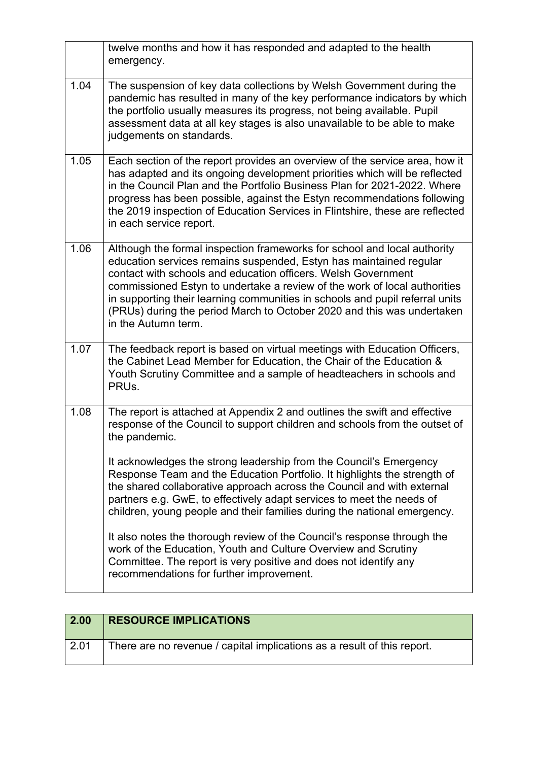|      | twelve months and how it has responded and adapted to the health<br>emergency.                                                                                                                                                                                                                                                                                                                                                                                                |
|------|-------------------------------------------------------------------------------------------------------------------------------------------------------------------------------------------------------------------------------------------------------------------------------------------------------------------------------------------------------------------------------------------------------------------------------------------------------------------------------|
| 1.04 | The suspension of key data collections by Welsh Government during the<br>pandemic has resulted in many of the key performance indicators by which<br>the portfolio usually measures its progress, not being available. Pupil<br>assessment data at all key stages is also unavailable to be able to make<br>judgements on standards.                                                                                                                                          |
| 1.05 | Each section of the report provides an overview of the service area, how it<br>has adapted and its ongoing development priorities which will be reflected<br>in the Council Plan and the Portfolio Business Plan for 2021-2022. Where<br>progress has been possible, against the Estyn recommendations following<br>the 2019 inspection of Education Services in Flintshire, these are reflected<br>in each service report.                                                   |
| 1.06 | Although the formal inspection frameworks for school and local authority<br>education services remains suspended, Estyn has maintained regular<br>contact with schools and education officers. Welsh Government<br>commissioned Estyn to undertake a review of the work of local authorities<br>in supporting their learning communities in schools and pupil referral units<br>(PRUs) during the period March to October 2020 and this was undertaken<br>in the Autumn term. |
| 1.07 | The feedback report is based on virtual meetings with Education Officers,<br>the Cabinet Lead Member for Education, the Chair of the Education &<br>Youth Scrutiny Committee and a sample of headteachers in schools and<br>PRU <sub>s</sub> .                                                                                                                                                                                                                                |
| 1.08 | The report is attached at Appendix 2 and outlines the swift and effective<br>response of the Council to support children and schools from the outset of<br>the pandemic.                                                                                                                                                                                                                                                                                                      |
|      | It acknowledges the strong leadership from the Council's Emergency<br>Response Team and the Education Portfolio. It highlights the strength of<br>the shared collaborative approach across the Council and with external<br>partners e.g. GwE, to effectively adapt services to meet the needs of<br>children, young people and their families during the national emergency.                                                                                                 |
|      | It also notes the thorough review of the Council's response through the<br>work of the Education, Youth and Culture Overview and Scrutiny<br>Committee. The report is very positive and does not identify any<br>recommendations for further improvement.                                                                                                                                                                                                                     |

| $\vert$ 2.00 | <b>RESOURCE IMPLICATIONS</b>                                            |
|--------------|-------------------------------------------------------------------------|
| $\vert 2.01$ | There are no revenue / capital implications as a result of this report. |